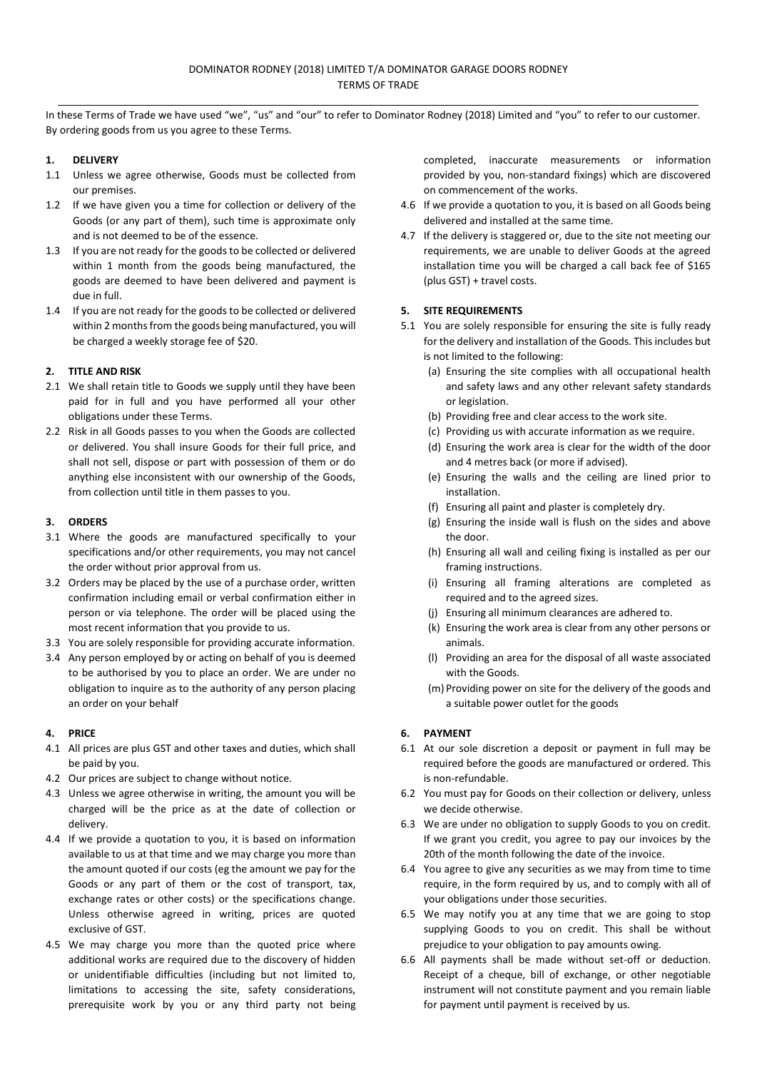In these Terms of Trade we have used "we", "us" and "our" to refer to Dominator Rodney (2018) Limited and "you" to refer to our customer. By ordering goods from us you agree to these Terms.

## **1. DELIVERY**

l

- 1.1 Unless we agree otherwise, Goods must be collected from our premises.
- 1.2 If we have given you a time for collection or delivery of the Goods (or any part of them), such time is approximate only and is not deemed to be of the essence.
- 1.3 If you are not ready for the goods to be collected or delivered within 1 month from the goods being manufactured, the goods are deemed to have been delivered and payment is due in full.
- 1.4 If you are not ready for the goods to be collected or delivered within 2 months from the goods being manufactured, you will be charged a weekly storage fee of \$20.

# **2. TITLE AND RISK**

- 2.1 We shall retain title to Goods we supply until they have been paid for in full and you have performed all your other obligations under these Terms.
- 2.2 Risk in all Goods passes to you when the Goods are collected or delivered. You shall insure Goods for their full price, and shall not sell, dispose or part with possession of them or do anything else inconsistent with our ownership of the Goods, from collection until title in them passes to you.

# **3. ORDERS**

- 3.1 Where the goods are manufactured specifically to your specifications and/or other requirements, you may not cancel the order without prior approval from us.
- 3.2 Orders may be placed by the use of a purchase order, written confirmation including email or verbal confirmation either in person or via telephone. The order will be placed using the most recent information that you provide to us.
- 3.3 You are solely responsible for providing accurate information.
- 3.4 Any person employed by or acting on behalf of you is deemed to be authorised by you to place an order. We are under no obligation to inquire as to the authority of any person placing an order on your behalf

# **4. PRICE**

- 4.1 All prices are plus GST and other taxes and duties, which shall be paid by you.
- 4.2 Our prices are subject to change without notice.
- 4.3 Unless we agree otherwise in writing, the amount you will be charged will be the price as at the date of collection or delivery.
- 4.4 If we provide a quotation to you, it is based on information available to us at that time and we may charge you more than the amount quoted if our costs (eg the amount we pay for the Goods or any part of them or the cost of transport, tax, exchange rates or other costs) or the specifications change. Unless otherwise agreed in writing, prices are quoted exclusive of GST.
- 4.5 We may charge you more than the quoted price where additional works are required due to the discovery of hidden or unidentifiable difficulties (including but not limited to, limitations to accessing the site, safety considerations, prerequisite work by you or any third party not being

completed, inaccurate measurements or information provided by you, non-standard fixings) which are discovered on commencement of the works.

- 4.6 If we provide a quotation to you, it is based on all Goods being delivered and installed at the same time.
- 4.7 If the delivery is staggered or, due to the site not meeting our requirements, we are unable to deliver Goods at the agreed installation time you will be charged a call back fee of \$165 (plus GST) + travel costs.

# **5. SITE REQUIREMENTS**

- 5.1 You are solely responsible for ensuring the site is fully ready for the delivery and installation of the Goods. This includes but is not limited to the following:
	- (a) Ensuring the site complies with all occupational health and safety laws and any other relevant safety standards or legislation.
	- (b) Providing free and clear access to the work site.
	- (c) Providing us with accurate information as we require.
	- (d) Ensuring the work area is clear for the width of the door and 4 metres back (or more if advised).
	- (e) Ensuring the walls and the ceiling are lined prior to installation.
	- (f) Ensuring all paint and plaster is completely dry.
	- (g) Ensuring the inside wall is flush on the sides and above the door.
	- (h) Ensuring all wall and ceiling fixing is installed as per our framing instructions.
	- (i) Ensuring all framing alterations are completed as required and to the agreed sizes.
	- (j) Ensuring all minimum clearances are adhered to.
	- (k) Ensuring the work area is clear from any other persons or animals.
	- (l) Providing an area for the disposal of all waste associated with the Goods.
	- (m) Providing power on site for the delivery of the goods and a suitable power outlet for the goods

# **6. PAYMENT**

- 6.1 At our sole discretion a deposit or payment in full may be required before the goods are manufactured or ordered. This is non-refundable.
- 6.2 You must pay for Goods on their collection or delivery, unless we decide otherwise.
- 6.3 We are under no obligation to supply Goods to you on credit. If we grant you credit, you agree to pay our invoices by the 20th of the month following the date of the invoice.
- 6.4 You agree to give any securities as we may from time to time require, in the form required by us, and to comply with all of your obligations under those securities.
- 6.5 We may notify you at any time that we are going to stop supplying Goods to you on credit. This shall be without prejudice to your obligation to pay amounts owing.
- 6.6 All payments shall be made without set-off or deduction. Receipt of a cheque, bill of exchange, or other negotiable instrument will not constitute payment and you remain liable for payment until payment is received by us.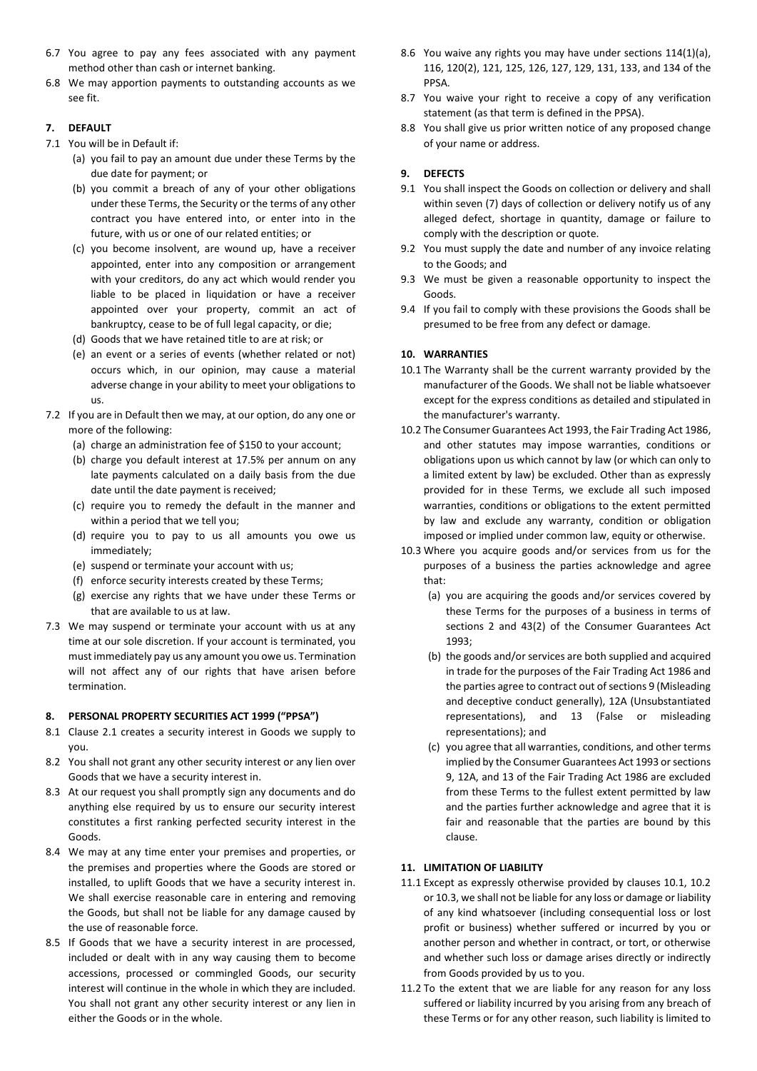- 6.7 You agree to pay any fees associated with any payment method other than cash or internet banking.
- 6.8 We may apportion payments to outstanding accounts as we see fit.

## **7. DEFAULT**

- 7.1 You will be in Default if:
	- (a) you fail to pay an amount due under these Terms by the due date for payment; or
	- (b) you commit a breach of any of your other obligations under these Terms, the Security or the terms of any other contract you have entered into, or enter into in the future, with us or one of our related entities; or
	- (c) you become insolvent, are wound up, have a receiver appointed, enter into any composition or arrangement with your creditors, do any act which would render you liable to be placed in liquidation or have a receiver appointed over your property, commit an act of bankruptcy, cease to be of full legal capacity, or die;
	- (d) Goods that we have retained title to are at risk; or
	- (e) an event or a series of events (whether related or not) occurs which, in our opinion, may cause a material adverse change in your ability to meet your obligations to us.
- 7.2 If you are in Default then we may, at our option, do any one or more of the following:
	- (a) charge an administration fee of \$150 to your account;
	- (b) charge you default interest at 17.5% per annum on any late payments calculated on a daily basis from the due date until the date payment is received;
	- (c) require you to remedy the default in the manner and within a period that we tell you;
	- (d) require you to pay to us all amounts you owe us immediately;
	- (e) suspend or terminate your account with us;
	- (f) enforce security interests created by these Terms;
	- (g) exercise any rights that we have under these Terms or that are available to us at law.
- 7.3 We may suspend or terminate your account with us at any time at our sole discretion. If your account is terminated, you must immediately pay us any amount you owe us. Termination will not affect any of our rights that have arisen before termination.

#### **8. PERSONAL PROPERTY SECURITIES ACT 1999 ("PPSA")**

- 8.1 Clause 2.1 creates a security interest in Goods we supply to you.
- 8.2 You shall not grant any other security interest or any lien over Goods that we have a security interest in.
- 8.3 At our request you shall promptly sign any documents and do anything else required by us to ensure our security interest constitutes a first ranking perfected security interest in the Goods.
- 8.4 We may at any time enter your premises and properties, or the premises and properties where the Goods are stored or installed, to uplift Goods that we have a security interest in. We shall exercise reasonable care in entering and removing the Goods, but shall not be liable for any damage caused by the use of reasonable force.
- 8.5 If Goods that we have a security interest in are processed, included or dealt with in any way causing them to become accessions, processed or commingled Goods, our security interest will continue in the whole in which they are included. You shall not grant any other security interest or any lien in either the Goods or in the whole.
- 8.6 You waive any rights you may have under sections 114(1)(a), 116, 120(2), 121, 125, 126, 127, 129, 131, 133, and 134 of the PPSA.
- 8.7 You waive your right to receive a copy of any verification statement (as that term is defined in the PPSA).
- 8.8 You shall give us prior written notice of any proposed change of your name or address.

### **9. DEFECTS**

- 9.1 You shall inspect the Goods on collection or delivery and shall within seven (7) days of collection or delivery notify us of any alleged defect, shortage in quantity, damage or failure to comply with the description or quote.
- 9.2 You must supply the date and number of any invoice relating to the Goods; and
- 9.3 We must be given a reasonable opportunity to inspect the Goods.
- 9.4 If you fail to comply with these provisions the Goods shall be presumed to be free from any defect or damage.

## **10. WARRANTIES**

- 10.1 The Warranty shall be the current warranty provided by the manufacturer of the Goods. We shall not be liable whatsoever except for the express conditions as detailed and stipulated in the manufacturer's warranty.
- 10.2 The Consumer Guarantees Act 1993, the Fair Trading Act 1986, and other statutes may impose warranties, conditions or obligations upon us which cannot by law (or which can only to a limited extent by law) be excluded. Other than as expressly provided for in these Terms, we exclude all such imposed warranties, conditions or obligations to the extent permitted by law and exclude any warranty, condition or obligation imposed or implied under common law, equity or otherwise.
- 10.3 Where you acquire goods and/or services from us for the purposes of a business the parties acknowledge and agree that:
	- (a) you are acquiring the goods and/or services covered by these Terms for the purposes of a business in terms of sections 2 and 43(2) of the Consumer Guarantees Act 1993;
	- (b) the goods and/or services are both supplied and acquired in trade for the purposes of the Fair Trading Act 1986 and the parties agree to contract out of sections 9 (Misleading and deceptive conduct generally), 12A (Unsubstantiated representations), and 13 (False or misleading representations); and
	- (c) you agree that all warranties, conditions, and other terms implied by the Consumer Guarantees Act 1993 or sections 9, 12A, and 13 of the Fair Trading Act 1986 are excluded from these Terms to the fullest extent permitted by law and the parties further acknowledge and agree that it is fair and reasonable that the parties are bound by this clause.

## **11. LIMITATION OF LIABILITY**

- 11.1 Except as expressly otherwise provided by clauses 10.1, 10.2 or 10.3, we shall not be liable for any loss or damage or liability of any kind whatsoever (including consequential loss or lost profit or business) whether suffered or incurred by you or another person and whether in contract, or tort, or otherwise and whether such loss or damage arises directly or indirectly from Goods provided by us to you.
- 11.2 To the extent that we are liable for any reason for any loss suffered or liability incurred by you arising from any breach of these Terms or for any other reason, such liability is limited to